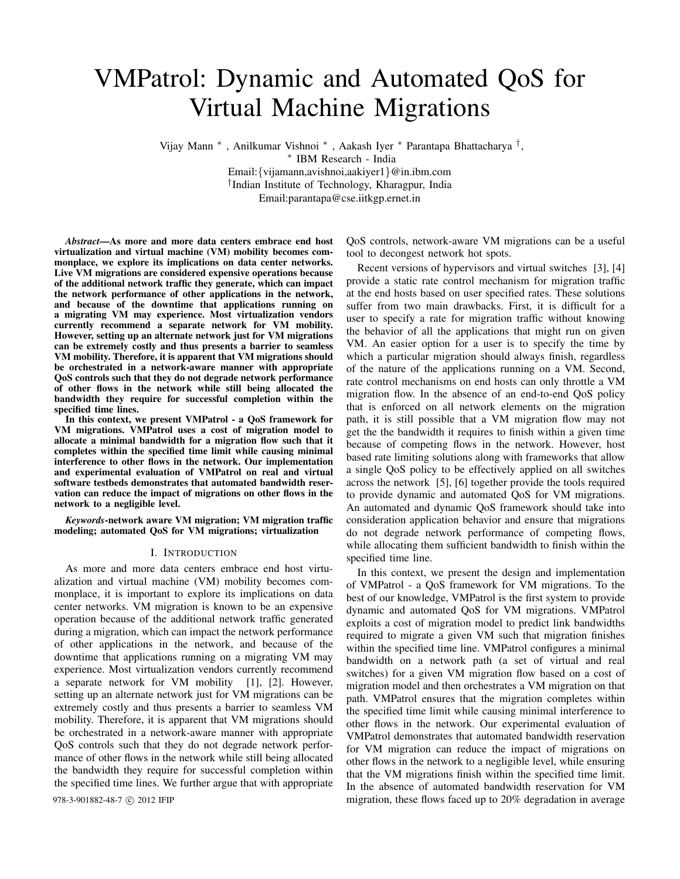# VMPatrol: Dynamic and Automated QoS for Virtual Machine Migrations

Vijay Mann ∗ , Anilkumar Vishnoi ∗ , Aakash Iyer ∗ Parantapa Bhattacharya †, ∗ IBM Research - India Email:{vijamann,avishnoi,aakiyer1}@in.ibm.com †Indian Institute of Technology, Kharagpur, India Email:parantapa@cse.iitkgp.ernet.in

*Abstract***—As more and more data centers embrace end host virtualization and virtual machine (VM) mobility becomes commonplace, we explore its implications on data center networks. Live VM migrations are considered expensive operations because of the additional network traffic they generate, which can impact the network performance of other applications in the network, and because of the downtime that applications running on a migrating VM may experience. Most virtualization vendors currently recommend a separate network for VM mobility. However, setting up an alternate network just for VM migrations can be extremely costly and thus presents a barrier to seamless VM mobility. Therefore, it is apparent that VM migrations should be orchestrated in a network-aware manner with appropriate QoS controls such that they do not degrade network performance of other flows in the network while still being allocated the bandwidth they require for successful completion within the specified time lines.**

**In this context, we present VMPatrol - a QoS framework for VM migrations. VMPatrol uses a cost of migration model to allocate a minimal bandwidth for a migration flow such that it completes within the specified time limit while causing minimal interference to other flows in the network. Our implementation and experimental evaluation of VMPatrol on real and virtual software testbeds demonstrates that automated bandwidth reservation can reduce the impact of migrations on other flows in the network to a negligible level.**

*Keywords***-network aware VM migration; VM migration traffic modeling; automated QoS for VM migrations; virtualization**

#### I. INTRODUCTION

As more and more data centers embrace end host virtualization and virtual machine (VM) mobility becomes commonplace, it is important to explore its implications on data center networks. VM migration is known to be an expensive operation because of the additional network traffic generated during a migration, which can impact the network performance of other applications in the network, and because of the downtime that applications running on a migrating VM may experience. Most virtualization vendors currently recommend a separate network for VM mobility [1], [2]. However, setting up an alternate network just for VM migrations can be extremely costly and thus presents a barrier to seamless VM mobility. Therefore, it is apparent that VM migrations should be orchestrated in a network-aware manner with appropriate QoS controls such that they do not degrade network performance of other flows in the network while still being allocated the bandwidth they require for successful completion within the specified time lines. We further argue that with appropriate

QoS controls, network-aware VM migrations can be a useful tool to decongest network hot spots.

Recent versions of hypervisors and virtual switches [3], [4] provide a static rate control mechanism for migration traffic at the end hosts based on user specified rates. These solutions suffer from two main drawbacks. First, it is difficult for a user to specify a rate for migration traffic without knowing the behavior of all the applications that might run on given VM. An easier option for a user is to specify the time by which a particular migration should always finish, regardless of the nature of the applications running on a VM. Second, rate control mechanisms on end hosts can only throttle a VM migration flow. In the absence of an end-to-end QoS policy that is enforced on all network elements on the migration path, it is still possible that a VM migration flow may not get the the bandwidth it requires to finish within a given time because of competing flows in the network. However, host based rate limiting solutions along with frameworks that allow a single QoS policy to be effectively applied on all switches across the network [5], [6] together provide the tools required to provide dynamic and automated QoS for VM migrations. An automated and dynamic QoS framework should take into consideration application behavior and ensure that migrations do not degrade network performance of competing flows, while allocating them sufficient bandwidth to finish within the specified time line.

In this context, we present the design and implementation of VMPatrol - a QoS framework for VM migrations. To the best of our knowledge, VMPatrol is the first system to provide dynamic and automated QoS for VM migrations. VMPatrol exploits a cost of migration model to predict link bandwidths required to migrate a given VM such that migration finishes within the specified time line. VMPatrol configures a minimal bandwidth on a network path (a set of virtual and real switches) for a given VM migration flow based on a cost of migration model and then orchestrates a VM migration on that path. VMPatrol ensures that the migration completes within the specified time limit while causing minimal interference to other flows in the network. Our experimental evaluation of VMPatrol demonstrates that automated bandwidth reservation for VM migration can reduce the impact of migrations on other flows in the network to a negligible level, while ensuring that the VM migrations finish within the specified time limit. In the absence of automated bandwidth reservation for VM 978-3-901882-48-7 © 2012 IFIP migration, these flows faced up to 20% degradation in average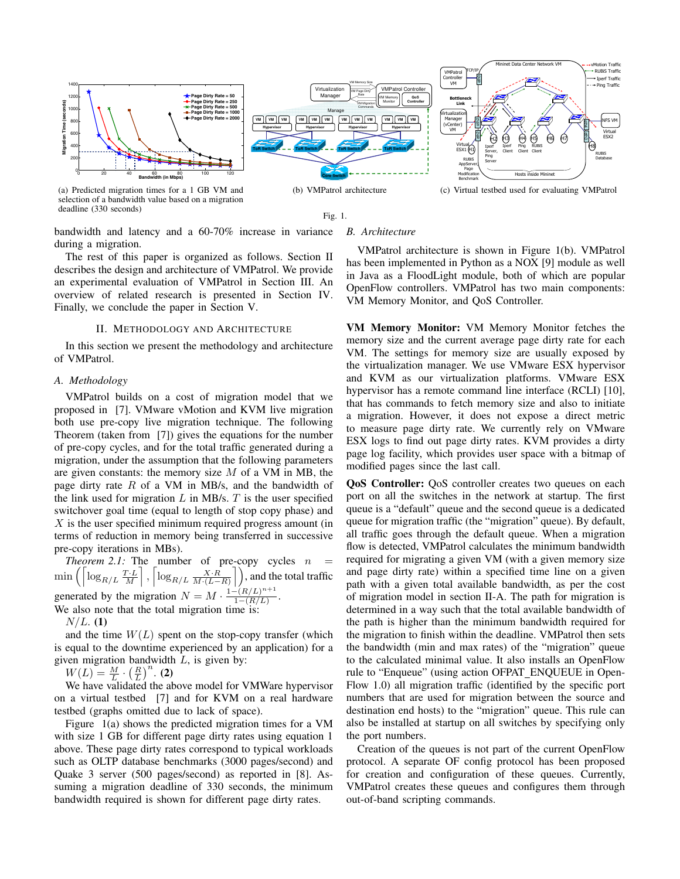



bandwidth and latency and a 60-70% increase in variance during a migration.

The rest of this paper is organized as follows. Section II describes the design and architecture of VMPatrol. We provide an experimental evaluation of VMPatrol in Section III. An overview of related research is presented in Section IV. Finally, we conclude the paper in Section V.

#### II. METHODOLOGY AND ARCHITECTURE

In this section we present the methodology and architecture of VMPatrol.

## *A. Methodology*

VMPatrol builds on a cost of migration model that we proposed in [7]. VMware vMotion and KVM live migration both use pre-copy live migration technique. The following Theorem (taken from [7]) gives the equations for the number of pre-copy cycles, and for the total traffic generated during a migration, under the assumption that the following parameters are given constants: the memory size  $M$  of a VM in MB, the page dirty rate  $R$  of a VM in MB/s, and the bandwidth of the link used for migration  $L$  in MB/s.  $T$  is the user specified switchover goal time (equal to length of stop copy phase) and  $\overline{X}$  is the user specified minimum required progress amount (in terms of reduction in memory being transferred in successive pre-copy iterations in MBs).

*Theorem 2.1:* The number of pre-copy cycles  $n$  $\min\left(\left\lceil \log_{R/L} \frac{T \cdot L}{M}\right\rceil, \left\lceil \log_{R/L} \frac{X \cdot R}{M \cdot (L-R)}\right\rceil\right)$ , and the total traffic generated by the migration  $N = M \cdot \frac{1 - (R/L)^{n+1}}{1 - (R/L)}$ . We also note that the total migration time is:

 $N/L.$  (1)

and the time  $W(L)$  spent on the stop-copy transfer (which is equal to the downtime experienced by an application) for a given migration bandwidth  $L$ , is given by:

 $W(L) = \frac{M}{L} \cdot \left(\frac{R}{L}\right)^n$ . (2)

We have validated the above model for VMWare hypervisor on a virtual testbed [7] and for KVM on a real hardware testbed (graphs omitted due to lack of space).

Figure 1(a) shows the predicted migration times for a VM with size 1 GB for different page dirty rates using equation 1 above. These page dirty rates correspond to typical workloads such as OLTP database benchmarks (3000 pages/second) and Quake 3 server (500 pages/second) as reported in [8]. Assuming a migration deadline of 330 seconds, the minimum bandwidth required is shown for different page dirty rates.

## *B. Architecture*

VMPatrol architecture is shown in Figure 1(b). VMPatrol has been implemented in Python as a NOX [9] module as well in Java as a FloodLight module, both of which are popular OpenFlow controllers. VMPatrol has two main components: VM Memory Monitor, and QoS Controller.

**VM Memory Monitor:** VM Memory Monitor fetches the memory size and the current average page dirty rate for each VM. The settings for memory size are usually exposed by the virtualization manager. We use VMware ESX hypervisor and KVM as our virtualization platforms. VMware ESX hypervisor has a remote command line interface (RCLI) [10], that has commands to fetch memory size and also to initiate a migration. However, it does not expose a direct metric to measure page dirty rate. We currently rely on VMware ESX logs to find out page dirty rates. KVM provides a dirty page log facility, which provides user space with a bitmap of modified pages since the last call.

**QoS Controller:** QoS controller creates two queues on each port on all the switches in the network at startup. The first queue is a "default" queue and the second queue is a dedicated queue for migration traffic (the "migration" queue). By default, all traffic goes through the default queue. When a migration flow is detected, VMPatrol calculates the minimum bandwidth required for migrating a given VM (with a given memory size and page dirty rate) within a specified time line on a given path with a given total available bandwidth, as per the cost of migration model in section II-A. The path for migration is determined in a way such that the total available bandwidth of the path is higher than the minimum bandwidth required for the migration to finish within the deadline. VMPatrol then sets the bandwidth (min and max rates) of the "migration" queue to the calculated minimal value. It also installs an OpenFlow rule to "Enqueue" (using action OFPAT ENQUEUE in Open-Flow 1.0) all migration traffic (identified by the specific port numbers that are used for migration between the source and destination end hosts) to the "migration" queue. This rule can also be installed at startup on all switches by specifying only the port numbers.

Creation of the queues is not part of the current OpenFlow protocol. A separate OF config protocol has been proposed for creation and configuration of these queues. Currently, VMPatrol creates these queues and configures them through out-of-band scripting commands.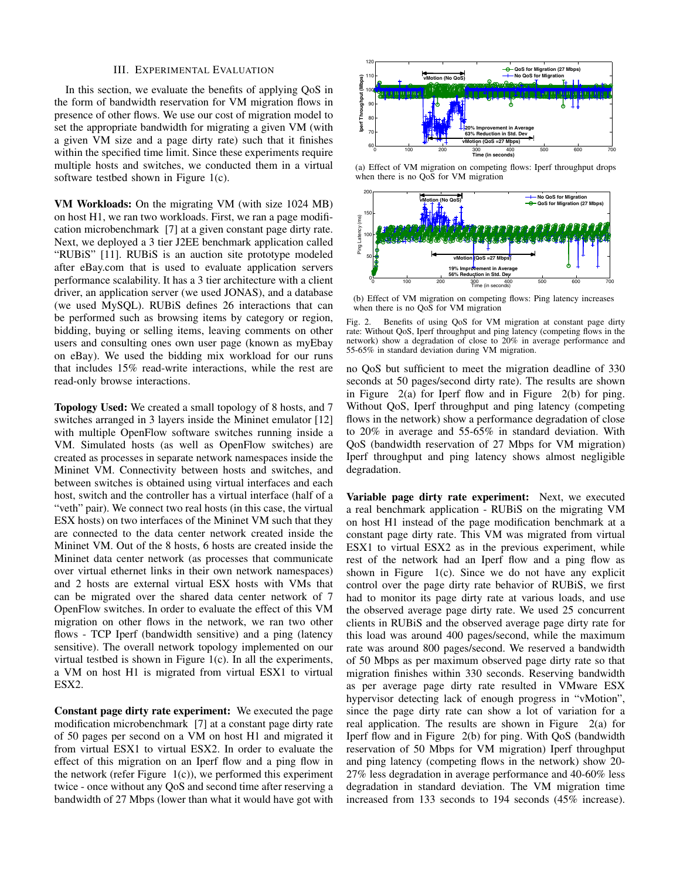### III. EXPERIMENTAL EVALUATION

In this section, we evaluate the benefits of applying QoS in the form of bandwidth reservation for VM migration flows in presence of other flows. We use our cost of migration model to set the appropriate bandwidth for migrating a given VM (with a given VM size and a page dirty rate) such that it finishes within the specified time limit. Since these experiments require multiple hosts and switches, we conducted them in a virtual software testbed shown in Figure 1(c).

**VM Workloads:** On the migrating VM (with size 1024 MB) on host H1, we ran two workloads. First, we ran a page modification microbenchmark [7] at a given constant page dirty rate. Next, we deployed a 3 tier J2EE benchmark application called "RUBiS" [11]. RUBiS is an auction site prototype modeled after eBay.com that is used to evaluate application servers performance scalability. It has a 3 tier architecture with a client driver, an application server (we used JONAS), and a database (we used MySQL). RUBiS defines 26 interactions that can be performed such as browsing items by category or region, bidding, buying or selling items, leaving comments on other users and consulting ones own user page (known as myEbay on eBay). We used the bidding mix workload for our runs that includes 15% read-write interactions, while the rest are read-only browse interactions.

**Topology Used:** We created a small topology of 8 hosts, and 7 switches arranged in 3 layers inside the Mininet emulator [12] with multiple OpenFlow software switches running inside a VM. Simulated hosts (as well as OpenFlow switches) are created as processes in separate network namespaces inside the Mininet VM. Connectivity between hosts and switches, and between switches is obtained using virtual interfaces and each host, switch and the controller has a virtual interface (half of a "veth" pair). We connect two real hosts (in this case, the virtual ESX hosts) on two interfaces of the Mininet VM such that they are connected to the data center network created inside the Mininet VM. Out of the 8 hosts, 6 hosts are created inside the Mininet data center network (as processes that communicate over virtual ethernet links in their own network namespaces) and 2 hosts are external virtual ESX hosts with VMs that can be migrated over the shared data center network of 7 OpenFlow switches. In order to evaluate the effect of this VM migration on other flows in the network, we ran two other flows - TCP Iperf (bandwidth sensitive) and a ping (latency sensitive). The overall network topology implemented on our virtual testbed is shown in Figure 1(c). In all the experiments, a VM on host H1 is migrated from virtual ESX1 to virtual ESX2.

**Constant page dirty rate experiment:** We executed the page modification microbenchmark [7] at a constant page dirty rate of 50 pages per second on a VM on host H1 and migrated it from virtual ESX1 to virtual ESX2. In order to evaluate the effect of this migration on an Iperf flow and a ping flow in the network (refer Figure 1(c)), we performed this experiment twice - once without any QoS and second time after reserving a bandwidth of 27 Mbps (lower than what it would have got with



(a) Effect of VM migration on competing flows: Iperf throughput drops when there is no QoS for VM migration



(b) Effect of VM migration on competing flows: Ping latency increases when there is no QoS for VM migration

Fig. 2. Benefits of using QoS for VM migration at constant page dirty rate: Without QoS, Iperf throughput and ping latency (competing flows in the network) show a degradation of close to 20% in average performance and 55-65% in standard deviation during VM migration.

no QoS but sufficient to meet the migration deadline of 330 seconds at 50 pages/second dirty rate). The results are shown in Figure 2(a) for Iperf flow and in Figure 2(b) for ping. Without QoS, Iperf throughput and ping latency (competing flows in the network) show a performance degradation of close to 20% in average and 55-65% in standard deviation. With QoS (bandwidth reservation of 27 Mbps for VM migration) Iperf throughput and ping latency shows almost negligible degradation.

**Variable page dirty rate experiment:** Next, we executed a real benchmark application - RUBiS on the migrating VM on host H1 instead of the page modification benchmark at a constant page dirty rate. This VM was migrated from virtual ESX1 to virtual ESX2 as in the previous experiment, while rest of the network had an Iperf flow and a ping flow as shown in Figure  $1(c)$ . Since we do not have any explicit control over the page dirty rate behavior of RUBiS, we first had to monitor its page dirty rate at various loads, and use the observed average page dirty rate. We used 25 concurrent clients in RUBiS and the observed average page dirty rate for this load was around 400 pages/second, while the maximum rate was around 800 pages/second. We reserved a bandwidth of 50 Mbps as per maximum observed page dirty rate so that migration finishes within 330 seconds. Reserving bandwidth as per average page dirty rate resulted in VMware ESX hypervisor detecting lack of enough progress in "vMotion", since the page dirty rate can show a lot of variation for a real application. The results are shown in Figure 2(a) for Iperf flow and in Figure 2(b) for ping. With QoS (bandwidth reservation of 50 Mbps for VM migration) Iperf throughput and ping latency (competing flows in the network) show 20- 27% less degradation in average performance and 40-60% less degradation in standard deviation. The VM migration time increased from 133 seconds to 194 seconds (45% increase).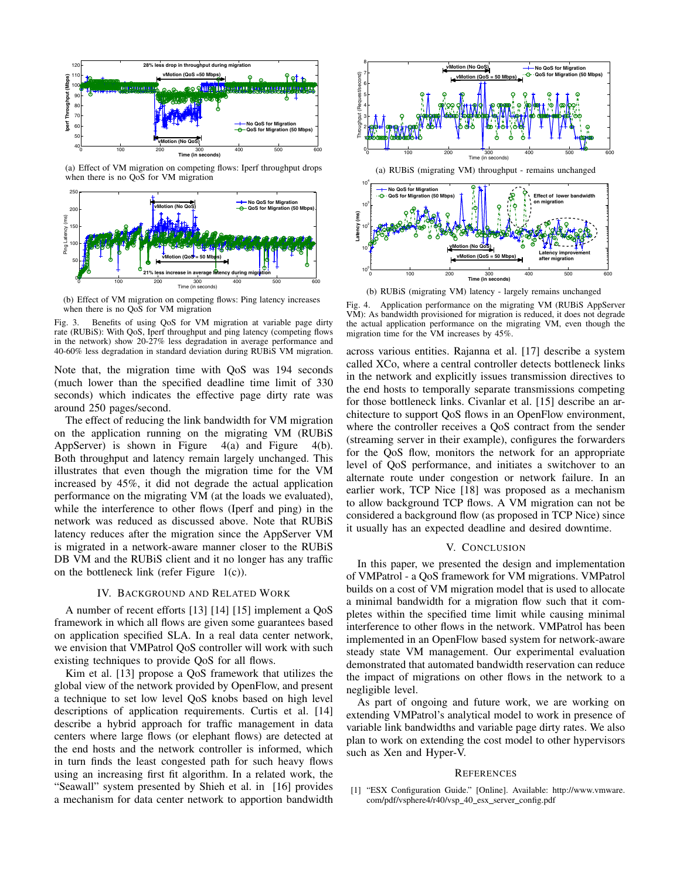

(a) Effect of VM migration on competing flows: Iperf throughput drops when there is no QoS for VM migration



(b) Effect of VM migration on competing flows: Ping latency increases when there is no QoS for VM migration

Fig. 3. Benefits of using QoS for VM migration at variable page dirty rate (RUBiS): With QoS, Iperf throughput and ping latency (competing flows in the network) show 20-27% less degradation in average performance and 40-60% less degradation in standard deviation during RUBiS VM migration.

Note that, the migration time with QoS was 194 seconds (much lower than the specified deadline time limit of 330 seconds) which indicates the effective page dirty rate was around 250 pages/second.

The effect of reducing the link bandwidth for VM migration on the application running on the migrating VM (RUBiS AppServer) is shown in Figure 4(a) and Figure 4(b). Both throughput and latency remain largely unchanged. This illustrates that even though the migration time for the VM increased by 45%, it did not degrade the actual application performance on the migrating VM (at the loads we evaluated), while the interference to other flows (Iperf and ping) in the network was reduced as discussed above. Note that RUBiS latency reduces after the migration since the AppServer VM is migrated in a network-aware manner closer to the RUBiS DB VM and the RUBiS client and it no longer has any traffic on the bottleneck link (refer Figure 1(c)).

## IV. BACKGROUND AND RELATED WORK

A number of recent efforts [13] [14] [15] implement a QoS framework in which all flows are given some guarantees based on application specified SLA. In a real data center network, we envision that VMPatrol QoS controller will work with such existing techniques to provide QoS for all flows.

Kim et al. [13] propose a QoS framework that utilizes the global view of the network provided by OpenFlow, and present a technique to set low level QoS knobs based on high level descriptions of application requirements. Curtis et al. [14] describe a hybrid approach for traffic management in data centers where large flows (or elephant flows) are detected at the end hosts and the network controller is informed, which in turn finds the least congested path for such heavy flows using an increasing first fit algorithm. In a related work, the "Seawall" system presented by Shieh et al. in [16] provides a mechanism for data center network to apportion bandwidth



(b) RUBiS (migrating VM) latency - largely remains unchanged

Fig. 4. Application performance on the migrating VM (RUBiS AppServer VM): As bandwidth provisioned for migration is reduced, it does not degrade the actual application performance on the migrating VM, even though the migration time for the VM increases by 45%.

across various entities. Rajanna et al. [17] describe a system called XCo, where a central controller detects bottleneck links in the network and explicitly issues transmission directives to the end hosts to temporally separate transmissions competing for those bottleneck links. Civanlar et al. [15] describe an architecture to support QoS flows in an OpenFlow environment, where the controller receives a QoS contract from the sender (streaming server in their example), configures the forwarders for the QoS flow, monitors the network for an appropriate level of QoS performance, and initiates a switchover to an alternate route under congestion or network failure. In an earlier work, TCP Nice [18] was proposed as a mechanism to allow background TCP flows. A VM migration can not be considered a background flow (as proposed in TCP Nice) since it usually has an expected deadline and desired downtime.

### V. CONCLUSION

In this paper, we presented the design and implementation of VMPatrol - a QoS framework for VM migrations. VMPatrol builds on a cost of VM migration model that is used to allocate a minimal bandwidth for a migration flow such that it completes within the specified time limit while causing minimal interference to other flows in the network. VMPatrol has been implemented in an OpenFlow based system for network-aware steady state VM management. Our experimental evaluation demonstrated that automated bandwidth reservation can reduce the impact of migrations on other flows in the network to a negligible level.

As part of ongoing and future work, we are working on extending VMPatrol's analytical model to work in presence of variable link bandwidths and variable page dirty rates. We also plan to work on extending the cost model to other hypervisors such as Xen and Hyper-V.

## **REFERENCES**

[1] "ESX Configuration Guide." [Online]. Available: http://www.vmware. com/pdf/vsphere4/r40/vsp\_40\_esx\_server\_config.pdf